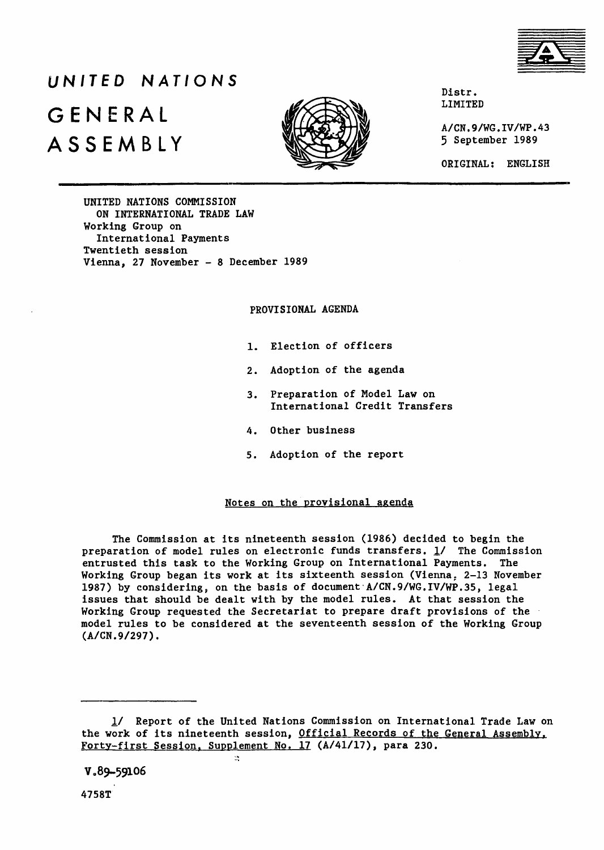

# *UNITED NATIONS* GENERAL **SENERAL** A S S E M B L Y



Distr.<br>LIMITED

A/CN.9/WG.IV/WP.43<br>5 September 1989

ORIGINAL; ENGLISH

UNITED NATIONS COMMISSION ON INTERNATIONAL TRADE LAW Working Group on International Payments Twentieth session Vienna, 27 November - **8** December 1989

PROVISIONAL AGENDA

- 1. Election of officers
- 2. Adoption of the agenda
- 3. Preparation of Model Law on International Credit Transfers
- 4. Other business
- 5. Adoption of the report

### Notes on the provisional agenda

The Commission at its nineteenth session (1986) decided to begin the preparation of model rules on electronic funds transfers.  $\frac{1}{1}$  The Commission entrusted this task to the Working Group on International Payments. The Working Group began its work at its sixteenth session (Vienna, 2-13 November 1987) by considering, on the basis of document A/CN.9/WG.IV/WP.35, legal issues that should be dealt with by the model rules. At that session the Working Group requested the Secretariat to prepare draft provisions of the model rules to be considered at the seventeenth session of the Working Group (A/CN.9/297).

58.

V **389-59106**

<sup>1/</sup> Report of the United Nations Commission on International Trade Law on the work of its nineteenth session, Official Records of the General Assembly. Forty-first Session, Supplement No. 17 (A/41/17), para 230.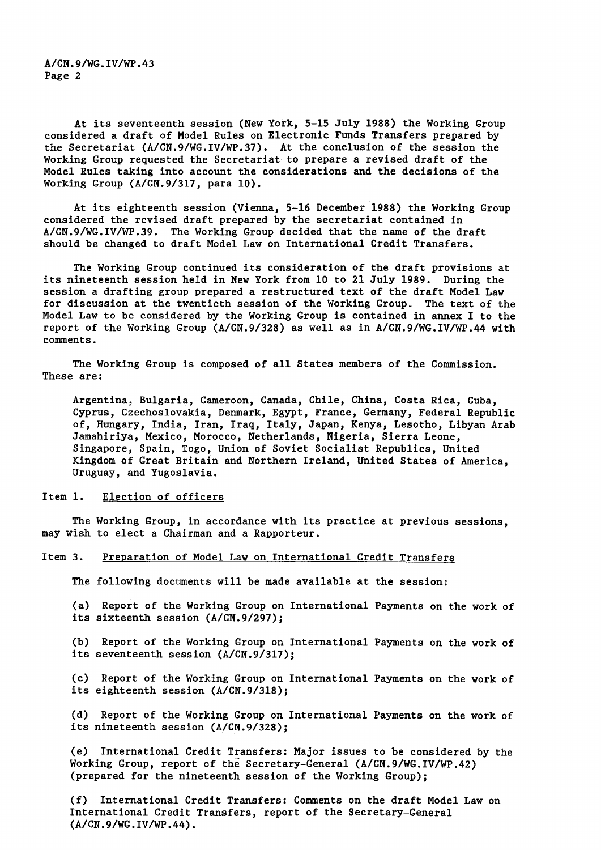**A/CN.9/WG.IV/WP.43 Page 2**

At its seventeenth session (New York, 5-15 July 1988) the Working Group considered a draft of Model Rules on Electronic Funds Transfers prepared by the Secretariat (A/CN.9/WG.IV/WP.37). At the conclusion of the session the Working Group requested the Secretariat to prepare a revised draft of the Model Rules taking into account the considerations and the decisions of the Working Group (A/CN.9/317, para 10).

At its eighteenth session (Vienna, 5-16 December 1988) the Working Group considered the revised draft prepared by the secretariat contained in A/CN.9/WG.IV/WP.39. The Working Group decided that the name of the draft should be changed to draft Model Law on International Credit Transfers.

The Working Group continued its consideration of the draft provisions at its nineteenth session held in New York from 10 to 21 July 1989. During the session a drafting group prepared a restructured text of the draft Model Law for discussion at the twentieth session of the Working Group. The text of the Model Law to be considered by the Working Group is contained in annex I to the report of the Working Group (A/CN.9/328) as well as in A/CN.9/WG.IV/WP.44 with comments.

The Working Group is composed of all States members of the Commission. These are;

Argentina. Bulgaria, Cameroon, Canada, Chile, China, Costa Rica, Cuba, Cyprus, Czechoslovakia, Denmark, Egypt, France, Germany, Federal Republic of, Hungary, India, Iran, Iraq, Italy, Japan, Kenya, Lesotho, Libyan Arab Jamahiriya, Mexico, Morocco, Netherlands, Nigeria, Sierra Leone, Singapore, Spain, Togo, Union of Soviet Socialist Republics, United Kingdom of Great Britain and Northern Ireland, United States of America, Uruguay, and Yugoslavia.

#### Item 1. Election of officers

The Working Group, in accordance with its practice at previous sessions, may wish to elect a Chairman and a Rapporteur.

#### Item 3. Preparation of Model Law on International Credit Transfers

The following documents will be made available at the session:

(a) Report of the Working Group on International Payments on the work of its sixteenth session (A/CN.9/297);

(b) Report of the Working Group on International Payments on the work of its seventeenth session (A/CN.9/317);

(c) Report of the Working Group on International Payments on the work of its eighteenth session (A/CN.9/318)j

(d) Report of the Working Group on International Payments on the work of its nineteenth session (A/CN.9/328);

(e) International Credit Transfers: Major issues to be considered by the Working Group, report of the Secretary-General (A/CN.9/WG.IV/WP.42) (prepared for the nineteenth session of the Working Group);

(f) International Credit Transfers: Comments on the draft Model Law on International Credit Transfers, report of the Secretary-General (A/CN.9/WG.IV/WP.44).